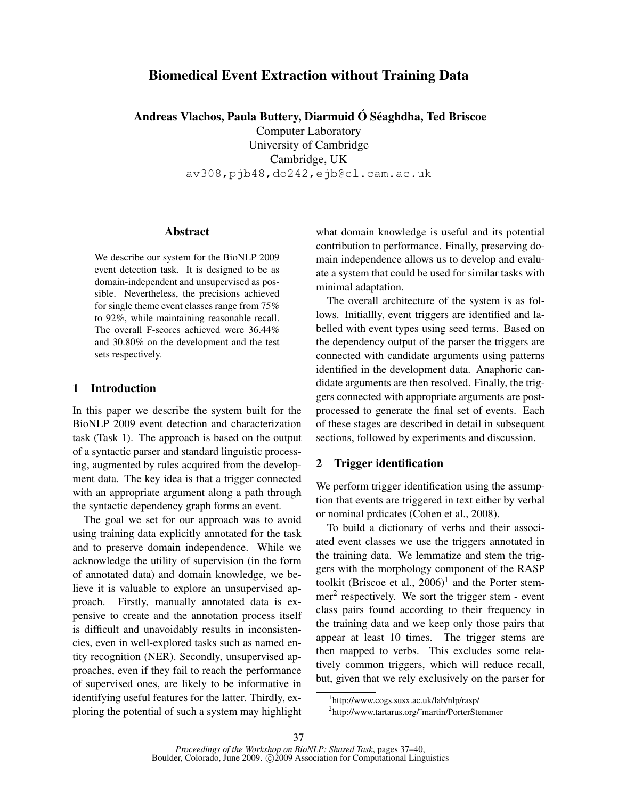# Biomedical Event Extraction without Training Data

Andreas Vlachos, Paula Buttery, Diarmuid  $\acute{\text{O}}$  Séaghdha, Ted Briscoe

Computer Laboratory University of Cambridge Cambridge, UK av308,pjb48,do242,ejb@cl.cam.ac.uk

#### Abstract

We describe our system for the BioNLP 2009 event detection task. It is designed to be as domain-independent and unsupervised as possible. Nevertheless, the precisions achieved for single theme event classes range from 75% to 92%, while maintaining reasonable recall. The overall F-scores achieved were 36.44% and 30.80% on the development and the test sets respectively.

## 1 Introduction

In this paper we describe the system built for the BioNLP 2009 event detection and characterization task (Task 1). The approach is based on the output of a syntactic parser and standard linguistic processing, augmented by rules acquired from the development data. The key idea is that a trigger connected with an appropriate argument along a path through the syntactic dependency graph forms an event.

The goal we set for our approach was to avoid using training data explicitly annotated for the task and to preserve domain independence. While we acknowledge the utility of supervision (in the form of annotated data) and domain knowledge, we believe it is valuable to explore an unsupervised approach. Firstly, manually annotated data is expensive to create and the annotation process itself is difficult and unavoidably results in inconsistencies, even in well-explored tasks such as named entity recognition (NER). Secondly, unsupervised approaches, even if they fail to reach the performance of supervised ones, are likely to be informative in identifying useful features for the latter. Thirdly, exploring the potential of such a system may highlight what domain knowledge is useful and its potential contribution to performance. Finally, preserving domain independence allows us to develop and evaluate a system that could be used for similar tasks with minimal adaptation.

The overall architecture of the system is as follows. Initiallly, event triggers are identified and labelled with event types using seed terms. Based on the dependency output of the parser the triggers are connected with candidate arguments using patterns identified in the development data. Anaphoric candidate arguments are then resolved. Finally, the triggers connected with appropriate arguments are postprocessed to generate the final set of events. Each of these stages are described in detail in subsequent sections, followed by experiments and discussion.

### 2 Trigger identification

We perform trigger identification using the assumption that events are triggered in text either by verbal or nominal prdicates (Cohen et al., 2008).

To build a dictionary of verbs and their associated event classes we use the triggers annotated in the training data. We lemmatize and stem the triggers with the morphology component of the RASP toolkit (Briscoe et al.,  $2006$ )<sup>1</sup> and the Porter stem $mer<sup>2</sup>$  respectively. We sort the trigger stem - event class pairs found according to their frequency in the training data and we keep only those pairs that appear at least 10 times. The trigger stems are then mapped to verbs. This excludes some relatively common triggers, which will reduce recall, but, given that we rely exclusively on the parser for

<sup>1</sup> http://www.cogs.susx.ac.uk/lab/nlp/rasp/

<sup>2</sup> http://www.tartarus.org/˜martin/PorterStemmer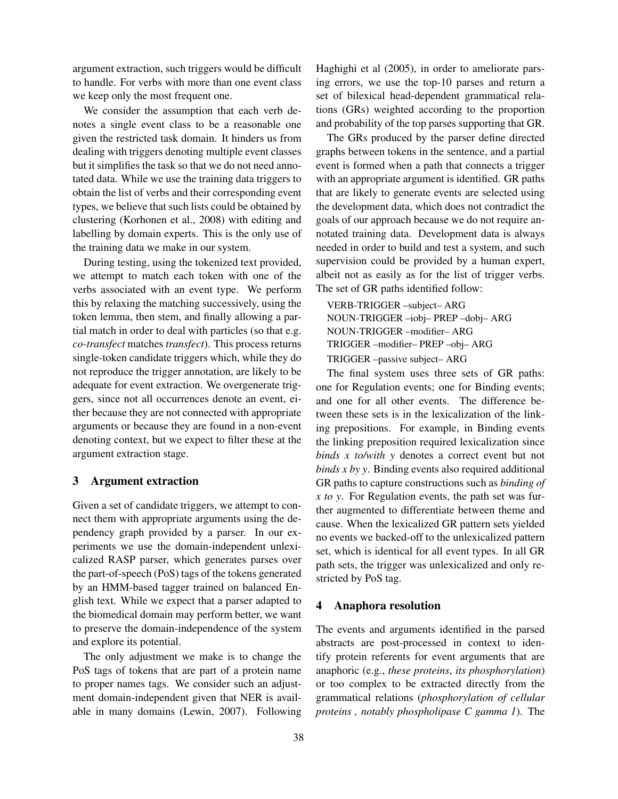argument extraction, such triggers would be difficult to handle. For verbs with more than one event class we keep only the most frequent one.

We consider the assumption that each verb denotes a single event class to be a reasonable one given the restricted task domain. It hinders us from dealing with triggers denoting multiple event classes but it simplifies the task so that we do not need annotated data. While we use the training data triggers to obtain the list of verbs and their corresponding event types, we believe that such lists could be obtained by clustering (Korhonen et al., 2008) with editing and labelling by domain experts. This is the only use of the training data we make in our system.

During testing, using the tokenized text provided, we attempt to match each token with one of the verbs associated with an event type. We perform this by relaxing the matching successively, using the token lemma, then stem, and finally allowing a partial match in order to deal with particles (so that e.g. *co-transfect* matches *transfect*). This process returns single-token candidate triggers which, while they do not reproduce the trigger annotation, are likely to be adequate for event extraction. We overgenerate triggers, since not all occurrences denote an event, either because they are not connected with appropriate arguments or because they are found in a non-event denoting context, but we expect to filter these at the argument extraction stage.

#### 3 Argument extraction

Given a set of candidate triggers, we attempt to connect them with appropriate arguments using the dependency graph provided by a parser. In our experiments we use the domain-independent unlexicalized RASP parser, which generates parses over the part-of-speech (PoS) tags of the tokens generated by an HMM-based tagger trained on balanced English text. While we expect that a parser adapted to the biomedical domain may perform better, we want to preserve the domain-independence of the system and explore its potential.

The only adjustment we make is to change the PoS tags of tokens that are part of a protein name to proper names tags. We consider such an adjustment domain-independent given that NER is available in many domains (Lewin, 2007). Following

Haghighi et al (2005), in order to ameliorate parsing errors, we use the top-10 parses and return a set of bilexical head-dependent grammatical relations (GRs) weighted according to the proportion and probability of the top parses supporting that GR.

The GRs produced by the parser define directed graphs between tokens in the sentence, and a partial event is formed when a path that connects a trigger with an appropriate argument is identified. GR paths that are likely to generate events are selected using the development data, which does not contradict the goals of our approach because we do not require annotated training data. Development data is always needed in order to build and test a system, and such supervision could be provided by a human expert, albeit not as easily as for the list of trigger verbs. The set of GR paths identified follow:

VERB-TRIGGER –subject– ARG NOUN-TRIGGER –iobj– PREP –dobj– ARG NOUN-TRIGGER –modifier– ARG TRIGGER –modifier– PREP –obj– ARG TRIGGER –passive subject– ARG

The final system uses three sets of GR paths: one for Regulation events; one for Binding events; and one for all other events. The difference between these sets is in the lexicalization of the linking prepositions. For example, in Binding events the linking preposition required lexicalization since *binds x to/with y* denotes a correct event but not *binds x by y*. Binding events also required additional GR paths to capture constructions such as *binding of x to y*. For Regulation events, the path set was further augmented to differentiate between theme and cause. When the lexicalized GR pattern sets yielded no events we backed-off to the unlexicalized pattern set, which is identical for all event types. In all GR path sets, the trigger was unlexicalized and only restricted by PoS tag.

## 4 Anaphora resolution

The events and arguments identified in the parsed abstracts are post-processed in context to identify protein referents for event arguments that are anaphoric (e.g., *these proteins*, *its phosphorylation*) or too complex to be extracted directly from the grammatical relations (*phosphorylation of cellular proteins , notably phospholipase C gamma 1*). The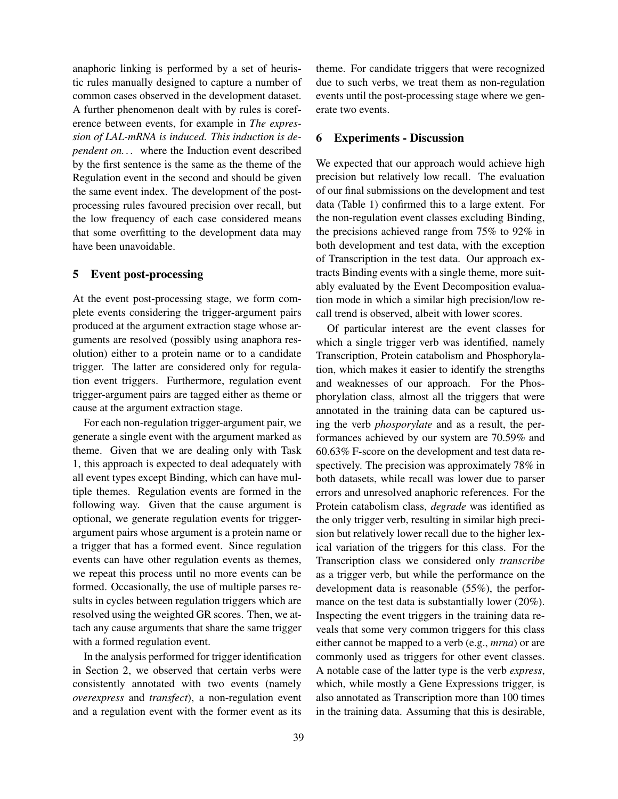anaphoric linking is performed by a set of heuristic rules manually designed to capture a number of common cases observed in the development dataset. A further phenomenon dealt with by rules is coreference between events, for example in *The expression of LAL-mRNA is induced. This induction is dependent on. . .* where the Induction event described by the first sentence is the same as the theme of the Regulation event in the second and should be given the same event index. The development of the postprocessing rules favoured precision over recall, but the low frequency of each case considered means that some overfitting to the development data may have been unavoidable.

#### 5 Event post-processing

At the event post-processing stage, we form complete events considering the trigger-argument pairs produced at the argument extraction stage whose arguments are resolved (possibly using anaphora resolution) either to a protein name or to a candidate trigger. The latter are considered only for regulation event triggers. Furthermore, regulation event trigger-argument pairs are tagged either as theme or cause at the argument extraction stage.

For each non-regulation trigger-argument pair, we generate a single event with the argument marked as theme. Given that we are dealing only with Task 1, this approach is expected to deal adequately with all event types except Binding, which can have multiple themes. Regulation events are formed in the following way. Given that the cause argument is optional, we generate regulation events for triggerargument pairs whose argument is a protein name or a trigger that has a formed event. Since regulation events can have other regulation events as themes, we repeat this process until no more events can be formed. Occasionally, the use of multiple parses results in cycles between regulation triggers which are resolved using the weighted GR scores. Then, we attach any cause arguments that share the same trigger with a formed regulation event.

In the analysis performed for trigger identification in Section 2, we observed that certain verbs were consistently annotated with two events (namely *overexpress* and *transfect*), a non-regulation event and a regulation event with the former event as its theme. For candidate triggers that were recognized due to such verbs, we treat them as non-regulation events until the post-processing stage where we generate two events.

## 6 Experiments - Discussion

We expected that our approach would achieve high precision but relatively low recall. The evaluation of our final submissions on the development and test data (Table 1) confirmed this to a large extent. For the non-regulation event classes excluding Binding, the precisions achieved range from 75% to 92% in both development and test data, with the exception of Transcription in the test data. Our approach extracts Binding events with a single theme, more suitably evaluated by the Event Decomposition evaluation mode in which a similar high precision/low recall trend is observed, albeit with lower scores.

Of particular interest are the event classes for which a single trigger verb was identified, namely Transcription, Protein catabolism and Phosphorylation, which makes it easier to identify the strengths and weaknesses of our approach. For the Phosphorylation class, almost all the triggers that were annotated in the training data can be captured using the verb *phosporylate* and as a result, the performances achieved by our system are 70.59% and 60.63% F-score on the development and test data respectively. The precision was approximately 78% in both datasets, while recall was lower due to parser errors and unresolved anaphoric references. For the Protein catabolism class, *degrade* was identified as the only trigger verb, resulting in similar high precision but relatively lower recall due to the higher lexical variation of the triggers for this class. For the Transcription class we considered only *transcribe* as a trigger verb, but while the performance on the development data is reasonable (55%), the performance on the test data is substantially lower (20%). Inspecting the event triggers in the training data reveals that some very common triggers for this class either cannot be mapped to a verb (e.g., *mrna*) or are commonly used as triggers for other event classes. A notable case of the latter type is the verb *express*, which, while mostly a Gene Expressions trigger, is also annotated as Transcription more than 100 times in the training data. Assuming that this is desirable,